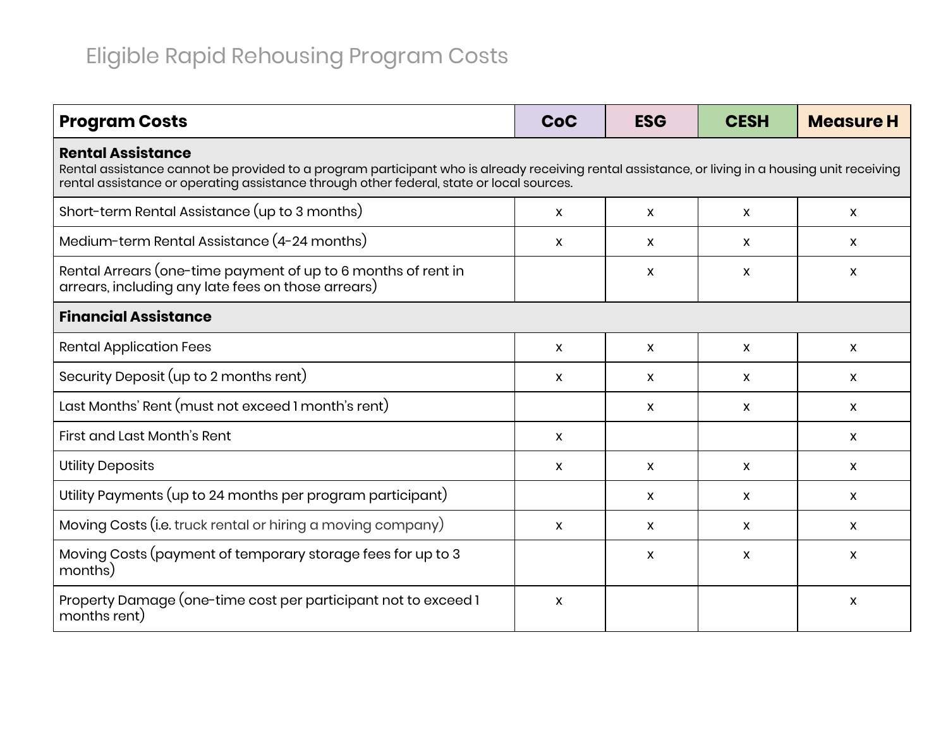| <b>Program Costs</b>                                                                                                                                                                                                                                                    | CoC                       | <b>ESG</b>   | <b>CESH</b>               | <b>Measure H</b> |  |  |
|-------------------------------------------------------------------------------------------------------------------------------------------------------------------------------------------------------------------------------------------------------------------------|---------------------------|--------------|---------------------------|------------------|--|--|
| <b>Rental Assistance</b><br>Rental assistance cannot be provided to a program participant who is already receiving rental assistance, or living in a housing unit receiving<br>rental assistance or operating assistance through other federal, state or local sources. |                           |              |                           |                  |  |  |
| Short-term Rental Assistance (up to 3 months)                                                                                                                                                                                                                           | X                         | X            | X                         | X                |  |  |
| Medium-term Rental Assistance (4-24 months)                                                                                                                                                                                                                             | X                         | X            | X                         | X                |  |  |
| Rental Arrears (one-time payment of up to 6 months of rent in<br>arrears, including any late fees on those arrears)                                                                                                                                                     |                           | X            | X                         | X                |  |  |
| <b>Financial Assistance</b>                                                                                                                                                                                                                                             |                           |              |                           |                  |  |  |
| <b>Rental Application Fees</b>                                                                                                                                                                                                                                          | $\mathsf{x}$              | $\mathsf{x}$ | $\mathsf{x}$              | X                |  |  |
| Security Deposit (up to 2 months rent)                                                                                                                                                                                                                                  | $\boldsymbol{\mathsf{X}}$ | X            | X                         | $\mathsf{x}$     |  |  |
| Last Months' Rent (must not exceed 1 month's rent)                                                                                                                                                                                                                      |                           | X            | $\boldsymbol{\mathsf{x}}$ | $\mathsf{x}$     |  |  |
| First and Last Month's Rent                                                                                                                                                                                                                                             | $\mathsf{x}$              |              |                           | $\mathsf{x}$     |  |  |
| <b>Utility Deposits</b>                                                                                                                                                                                                                                                 | X                         | X            | $\mathsf{x}$              | X                |  |  |
| Utility Payments (up to 24 months per program participant)                                                                                                                                                                                                              |                           | X            | $\mathsf{x}$              | X                |  |  |
| Moving Costs (i.e. truck rental or hiring a moving company)                                                                                                                                                                                                             | $\mathsf{x}$              | X            | $\mathsf{x}$              | X                |  |  |
| Moving Costs (payment of temporary storage fees for up to 3<br>months)                                                                                                                                                                                                  |                           | X            | X                         | X                |  |  |
| Property Damage (one-time cost per participant not to exceed 1<br>months rent)                                                                                                                                                                                          | X                         |              |                           | X                |  |  |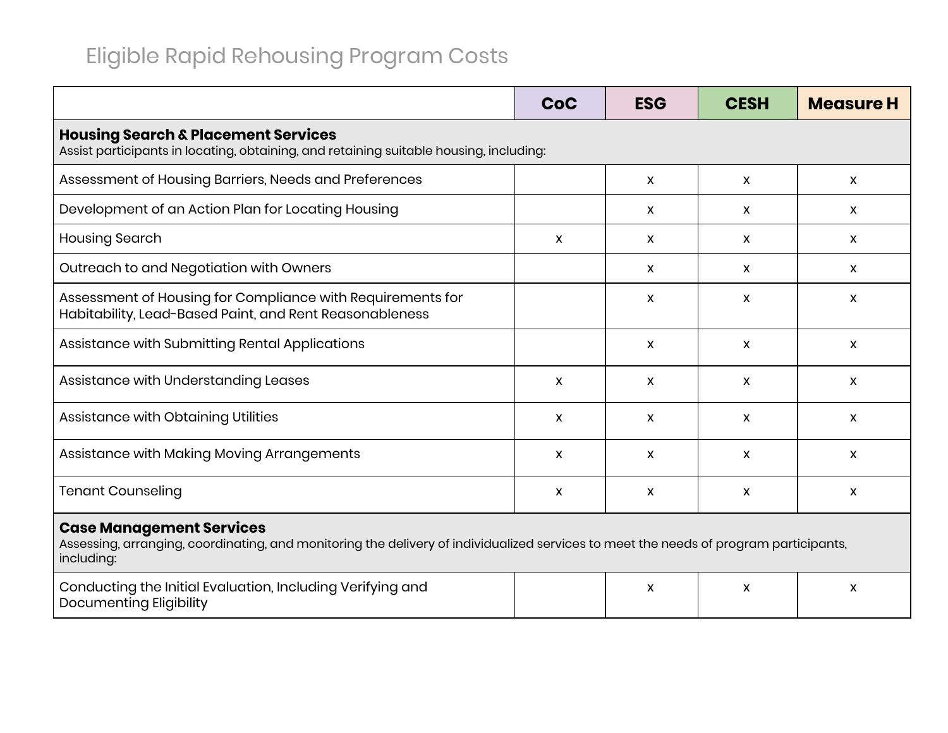|                                                                                                                                                                                        | CoC | <b>ESG</b>   | <b>CESH</b> | <b>Measure H</b> |  |  |
|----------------------------------------------------------------------------------------------------------------------------------------------------------------------------------------|-----|--------------|-------------|------------------|--|--|
| <b>Housing Search &amp; Placement Services</b><br>Assist participants in locating, obtaining, and retaining suitable housing, including:                                               |     |              |             |                  |  |  |
| Assessment of Housing Barriers, Needs and Preferences                                                                                                                                  |     | X            | X           | X                |  |  |
| Development of an Action Plan for Locating Housing                                                                                                                                     |     | X            | X           | X                |  |  |
| <b>Housing Search</b>                                                                                                                                                                  | X   | $\mathsf{x}$ | X           | $\mathsf{x}$     |  |  |
| Outreach to and Negotiation with Owners                                                                                                                                                |     | X            | X           | X                |  |  |
| Assessment of Housing for Compliance with Requirements for<br>Habitability, Lead-Based Paint, and Rent Reasonableness                                                                  |     | X            | X           | X                |  |  |
| Assistance with Submitting Rental Applications                                                                                                                                         |     | X            | X           | X                |  |  |
| Assistance with Understanding Leases                                                                                                                                                   | X   | X            | X           | X                |  |  |
| Assistance with Obtaining Utilities                                                                                                                                                    | X   | X            | X           | X                |  |  |
| Assistance with Making Moving Arrangements                                                                                                                                             | X   | X            | X           | X                |  |  |
| <b>Tenant Counseling</b>                                                                                                                                                               | X   | X            | X           | X                |  |  |
| <b>Case Management Services</b><br>Assessing, arranging, coordinating, and monitoring the delivery of individualized services to meet the needs of program participants,<br>including: |     |              |             |                  |  |  |
| Conducting the Initial Evaluation, Including Verifying and<br>Documenting Eligibility                                                                                                  |     | X            | X           | X                |  |  |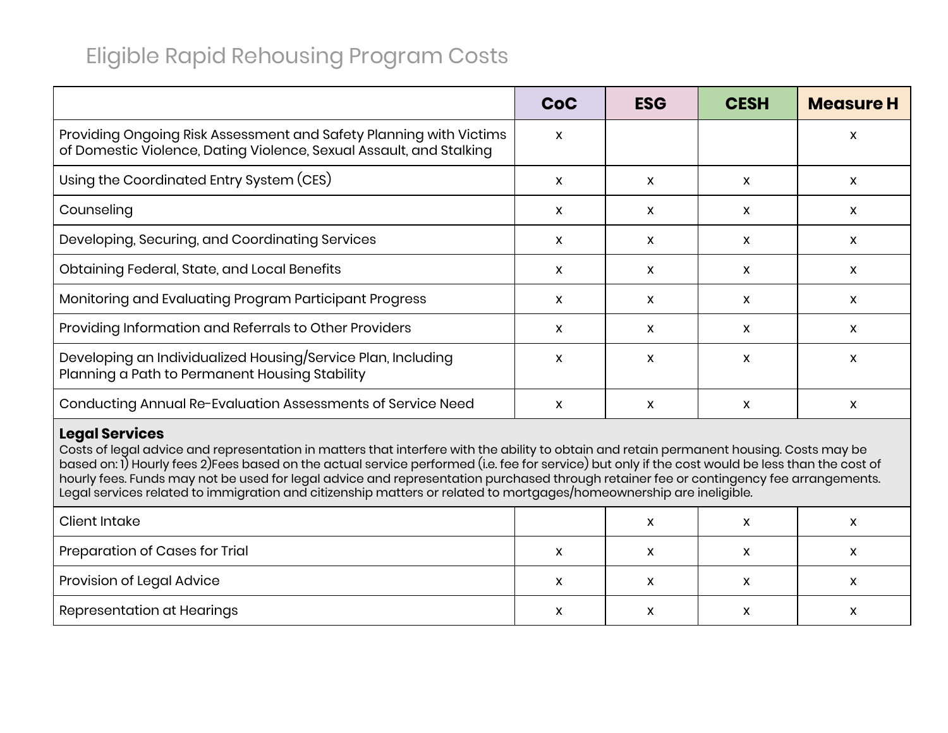|                                                                                                                                           | <b>CoC</b> | <b>ESG</b> | <b>CESH</b>  | <b>Measure H</b> |
|-------------------------------------------------------------------------------------------------------------------------------------------|------------|------------|--------------|------------------|
| Providing Ongoing Risk Assessment and Safety Planning with Victims<br>of Domestic Violence, Dating Violence, Sexual Assault, and Stalking | X          |            |              | X                |
| Using the Coordinated Entry System (CES)                                                                                                  | x          | X          | $\mathsf{x}$ | X                |
| Counseling                                                                                                                                | X          | x          | X            | x                |
| Developing, Securing, and Coordinating Services                                                                                           | X.         | x          | X            | X                |
| Obtaining Federal, State, and Local Benefits                                                                                              | x          | X          | $\mathsf{x}$ | X                |
| Monitoring and Evaluating Program Participant Progress                                                                                    | X.         | x          | X            | X                |
| Providing Information and Referrals to Other Providers                                                                                    | X          | X          | X            | X                |
| Developing an Individualized Housing/Service Plan, Including<br>Planning a Path to Permanent Housing Stability                            | x          | x          | X            | X                |
| Conducting Annual Re-Evaluation Assessments of Service Need                                                                               | X          | x          | X            | X                |

### **Legal Services**

Costs of legal advice and representation in matters that interfere with the ability to obtain and retain permanent housing. Costs may be based on: 1) Hourly fees 2)Fees based on the actual service performed (i.e. fee for service) but only if the cost would be less than the cost of hourly fees. Funds may not be used for legal advice and representation purchased through retainer fee or contingency fee arrangements. Legal services related to immigration and citizenship matters or related to mortgages/homeownership are ineligible.

| Client Intake                  |              | $\checkmark$<br>$\mathbf{v}$ | ́ |
|--------------------------------|--------------|------------------------------|---|
| Preparation of Cases for Trial | $\mathbf{v}$ | X                            |   |
| Provision of Legal Advice      | $\checkmark$ | x                            |   |
| Representation at Hearings     | v            | v<br>́                       | ́ |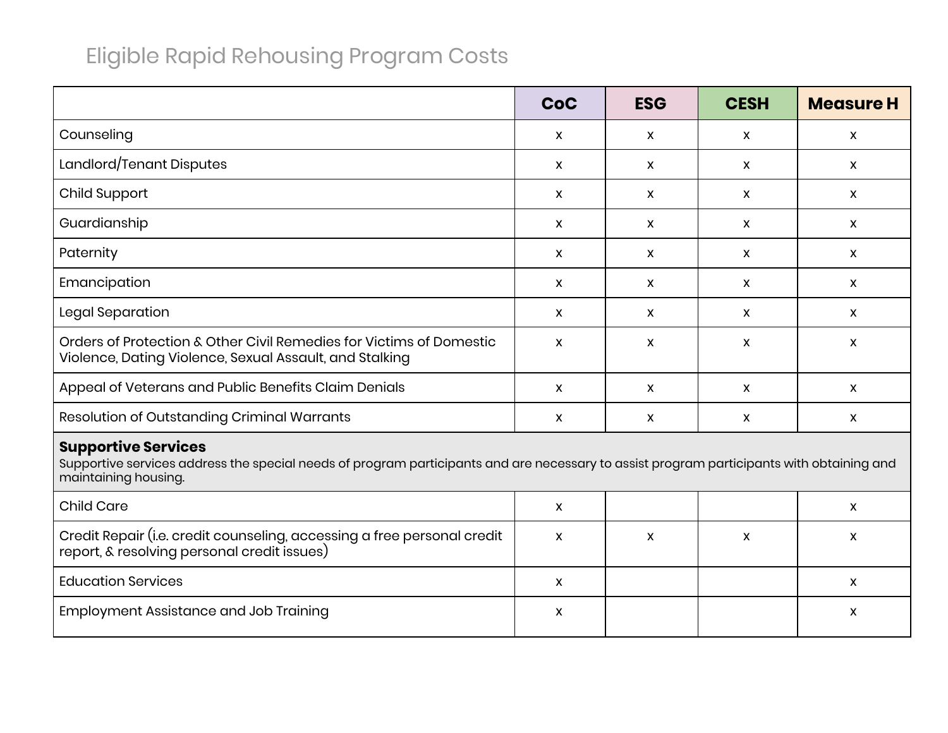|                                                                                                                                                                                                                         | <b>CoC</b> | <b>ESG</b> | <b>CESH</b>  | <b>Measure H</b>          |  |
|-------------------------------------------------------------------------------------------------------------------------------------------------------------------------------------------------------------------------|------------|------------|--------------|---------------------------|--|
| Counseling                                                                                                                                                                                                              | X          | X          | $\pmb{\chi}$ | $\boldsymbol{\mathsf{x}}$ |  |
| Landlord/Tenant Disputes                                                                                                                                                                                                | X          | X          | X            | $\pmb{\chi}$              |  |
| Child Support                                                                                                                                                                                                           | X          | X          | $\mathsf{x}$ | X                         |  |
| Guardianship                                                                                                                                                                                                            | X          | X          | $\mathsf{x}$ | $\mathsf{X}$              |  |
| Paternity                                                                                                                                                                                                               | X          | X          | $\mathsf{x}$ | $\mathsf{x}$              |  |
| Emancipation                                                                                                                                                                                                            | X          | X.         | $\mathsf{x}$ | $\mathsf{x}$              |  |
| Legal Separation                                                                                                                                                                                                        | X          | X          | $\mathsf{x}$ | $\mathsf{x}$              |  |
| Orders of Protection & Other Civil Remedies for Victims of Domestic<br>Violence, Dating Violence, Sexual Assault, and Stalking                                                                                          | X          | X          | X            | $\boldsymbol{\mathsf{x}}$ |  |
| Appeal of Veterans and Public Benefits Claim Denials                                                                                                                                                                    | X          | X          | $\mathsf{x}$ | $\mathsf{x}$              |  |
| <b>Resolution of Outstanding Criminal Warrants</b>                                                                                                                                                                      | X          | X          | $\mathsf{x}$ | $\boldsymbol{\mathsf{x}}$ |  |
| <b>Supportive Services</b><br>Supportive services address the special needs of program participants and are necessary to assist program participants with obtaining and<br>maintaining housing.<br>$\sim$ $\sim$ $\sim$ |            |            |              |                           |  |

| <b>Child Care</b>                                                                                                      |  |  |
|------------------------------------------------------------------------------------------------------------------------|--|--|
| Credit Repair (i.e. credit counseling, accessing a free personal credit<br>report, & resolving personal credit issues) |  |  |
| <b>Education Services</b>                                                                                              |  |  |
| <b>Employment Assistance and Job Training</b>                                                                          |  |  |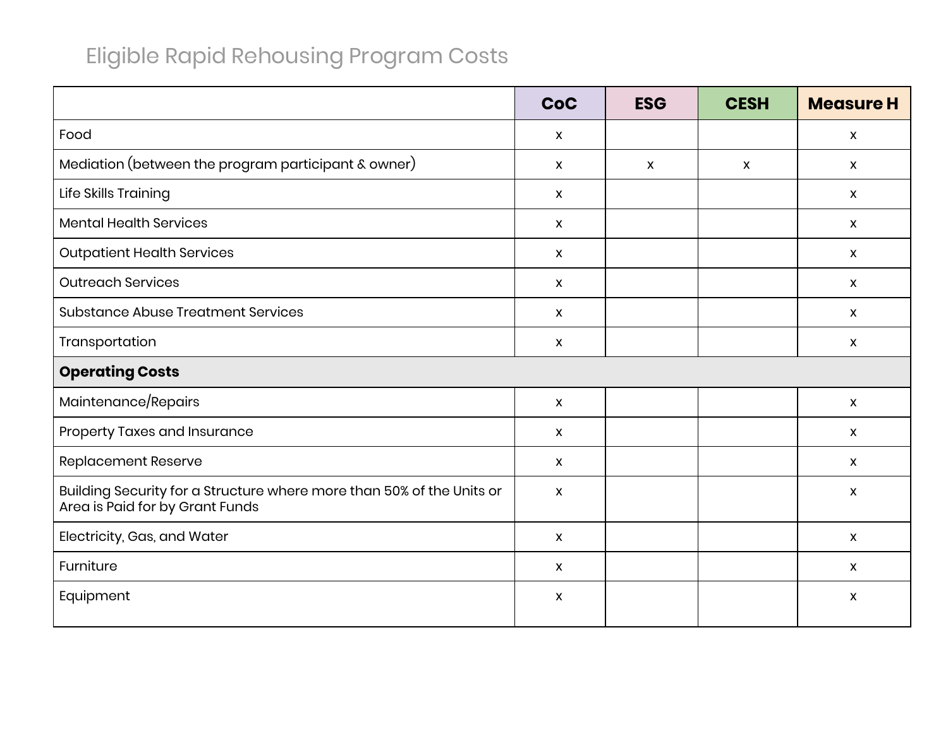|                                                                                                          | CoC                       | <b>ESG</b>                | <b>CESH</b>  | <b>Measure H</b>          |
|----------------------------------------------------------------------------------------------------------|---------------------------|---------------------------|--------------|---------------------------|
| Food                                                                                                     | $\mathsf{X}$              |                           |              | $\mathsf{X}$              |
| Mediation (between the program participant & owner)                                                      | $\mathsf{X}$              | $\boldsymbol{\mathsf{x}}$ | $\mathsf{x}$ | $\boldsymbol{\mathsf{X}}$ |
| Life Skills Training                                                                                     | $\mathsf{X}$              |                           |              | $\mathsf{X}$              |
| <b>Mental Health Services</b>                                                                            | $\boldsymbol{\mathsf{X}}$ |                           |              | $\mathsf{x}$              |
| <b>Outpatient Health Services</b>                                                                        | $\mathsf{X}$              |                           |              | $\mathsf{x}$              |
| <b>Outreach Services</b>                                                                                 | $\mathsf{X}$              |                           |              | $\mathsf{X}$              |
| <b>Substance Abuse Treatment Services</b>                                                                | $\mathsf{X}$              |                           |              | $\boldsymbol{\mathsf{X}}$ |
| Transportation                                                                                           | $\mathsf{X}$              |                           |              | $\mathsf{x}$              |
| <b>Operating Costs</b>                                                                                   |                           |                           |              |                           |
| Maintenance/Repairs                                                                                      | $\mathsf{X}$              |                           |              | $\boldsymbol{\mathsf{X}}$ |
| Property Taxes and Insurance                                                                             | $\mathsf{X}$              |                           |              | $\boldsymbol{\mathsf{X}}$ |
| <b>Replacement Reserve</b>                                                                               | $\pmb{\mathsf{X}}$        |                           |              | $\boldsymbol{\mathsf{X}}$ |
| Building Security for a Structure where more than 50% of the Units or<br>Area is Paid for by Grant Funds | $\pmb{\chi}$              |                           |              | $\boldsymbol{\mathsf{X}}$ |
| Electricity, Gas, and Water                                                                              | $\pmb{\mathsf{X}}$        |                           |              | $\pmb{\chi}$              |
| Furniture                                                                                                | $\boldsymbol{\mathsf{X}}$ |                           |              | $\boldsymbol{\mathsf{X}}$ |
| Equipment                                                                                                | X                         |                           |              | X                         |